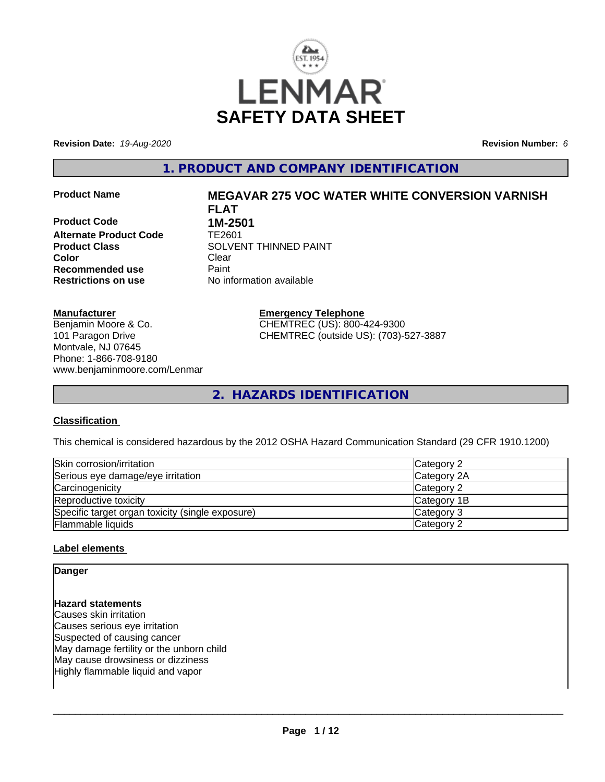

**Revision Date:** *19-Aug-2020* **Revision Number:** *6*

**1. PRODUCT AND COMPANY IDENTIFICATION**

**Product Code 1M-2501<br>Alternate Product Code 1E2601 Alternate Product Code Color** Clear Clear **Recommended use** Paint<br> **Restrictions on use** Mo information available **Restrictions on use** 

# **Product Name MEGAVAR 275 VOC WATER WHITE CONVERSION VARNISH FLAT**

**Product Class SOLVENT THINNED PAINT** 

#### **Manufacturer**

Benjamin Moore & Co. 101 Paragon Drive Montvale, NJ 07645 Phone: 1-866-708-9180 www.benjaminmoore.com/Lenmar **Emergency Telephone** CHEMTREC (US): 800-424-9300 CHEMTREC (outside US): (703)-527-3887

**2. HAZARDS IDENTIFICATION**

# **Classification**

This chemical is considered hazardous by the 2012 OSHA Hazard Communication Standard (29 CFR 1910.1200)

| Skin corrosion/irritation                        | Category 2  |
|--------------------------------------------------|-------------|
| Serious eye damage/eye irritation                | Category 2A |
| Carcinogenicity                                  | Category 2  |
| Reproductive toxicity                            | Category 1B |
| Specific target organ toxicity (single exposure) | Category 3  |
| <b>Flammable liquids</b>                         | Category 2  |

# **Label elements**

# **Danger Hazard statements** Causes skin irritation Causes serious eye irritation

Suspected of causing cancer May damage fertility or the unborn child May cause drowsiness or dizziness Highly flammable liquid and vapor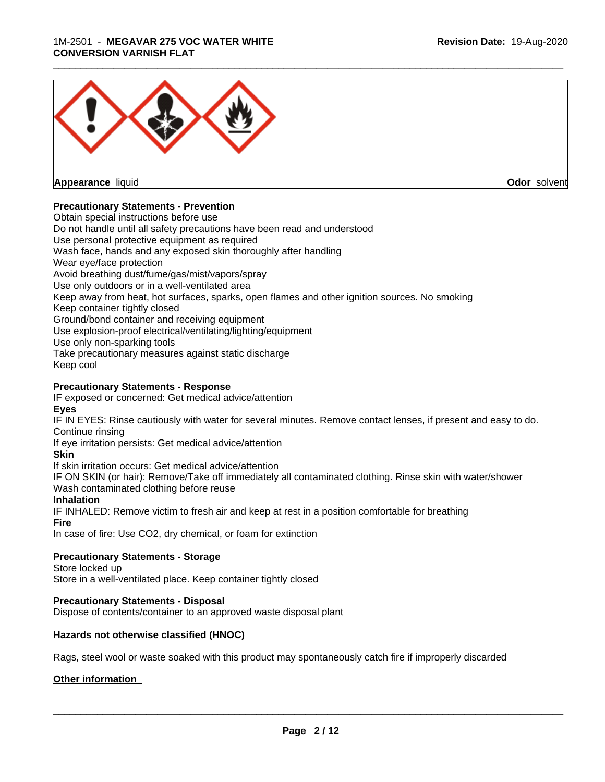# 1M-2501 - **MEGAVAR 275 VOC WATER WHITE CONVERSION VARNISH FLAT**



**Appearance** liquid **Odor** solvent

# **Precautionary Statements - Prevention**

Obtain special instructions before use Do not handle until all safety precautions have been read and understood Use personal protective equipment as required Wash face, hands and any exposed skin thoroughly after handling Wear eye/face protection Avoid breathing dust/fume/gas/mist/vapors/spray Use only outdoors or in a well-ventilated area Keep away from heat, hot surfaces, sparks, open flames and other ignition sources. No smoking Keep container tightly closed Ground/bond container and receiving equipment Use explosion-proof electrical/ventilating/lighting/equipment Use only non-sparking tools Take precautionary measures against static discharge Keep cool **Precautionary Statements - Response**

IF exposed or concerned: Get medical advice/attention **Eyes**

IF IN EYES: Rinse cautiously with water for several minutes. Remove contact lenses, if present and easy to do. Continue rinsing

If eye irritation persists: Get medical advice/attention

**Skin**

If skin irritation occurs: Get medical advice/attention

IF ON SKIN (or hair): Remove/Take off immediately all contaminated clothing. Rinse skin with water/shower Wash contaminated clothing before reuse

# **Inhalation**

IF INHALED: Remove victim to fresh air and keep at rest in a position comfortable for breathing **Fire**

In case of fire: Use CO2, dry chemical, or foam for extinction

# **Precautionary Statements - Storage**

Store locked up Store in a well-ventilated place. Keep container tightly closed

# **Precautionary Statements - Disposal**

Dispose of contents/container to an approved waste disposal plant

# **Hazards not otherwise classified (HNOC)**

Rags, steel wool or waste soaked with this product may spontaneously catch fire if improperly discarded

# **Other information**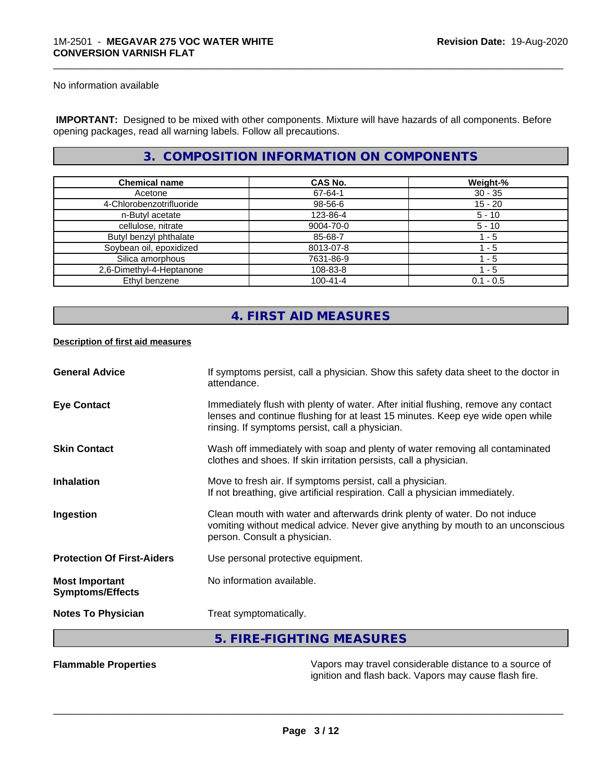No information available

 **IMPORTANT:** Designed to be mixed with other components. Mixture will have hazards of all components. Before opening packages, read all warning labels. Follow all precautions.

# **3. COMPOSITION INFORMATION ON COMPONENTS**

\_\_\_\_\_\_\_\_\_\_\_\_\_\_\_\_\_\_\_\_\_\_\_\_\_\_\_\_\_\_\_\_\_\_\_\_\_\_\_\_\_\_\_\_\_\_\_\_\_\_\_\_\_\_\_\_\_\_\_\_\_\_\_\_\_\_\_\_\_\_\_\_\_\_\_\_\_\_\_\_\_\_\_\_\_\_\_\_\_\_\_\_\_

| <b>Chemical name</b>     | CAS No.        | Weight-%    |
|--------------------------|----------------|-------------|
| Acetone                  | 67-64-1        | $30 - 35$   |
| 4-Chlorobenzotrifluoride | 98-56-6        | $15 - 20$   |
| n-Butyl acetate          | 123-86-4       | $5 - 10$    |
| cellulose, nitrate       | 9004-70-0      | $5 - 10$    |
| Butyl benzyl phthalate   | 85-68-7        | 1 - 5       |
| Soybean oil, epoxidized  | 8013-07-8      | - 5         |
| Silica amorphous         | 7631-86-9      | $-5$        |
| 2,6-Dimethyl-4-Heptanone | 108-83-8       | l - 5       |
| Ethyl benzene            | $100 - 41 - 4$ | $0.1 - 0.5$ |

# **4. FIRST AID MEASURES**

# **Description of first aid measures**

| <b>General Advice</b>                            | If symptoms persist, call a physician. Show this safety data sheet to the doctor in<br>attendance.                                                                                                                      |
|--------------------------------------------------|-------------------------------------------------------------------------------------------------------------------------------------------------------------------------------------------------------------------------|
| <b>Eye Contact</b>                               | Immediately flush with plenty of water. After initial flushing, remove any contact<br>lenses and continue flushing for at least 15 minutes. Keep eye wide open while<br>rinsing. If symptoms persist, call a physician. |
| <b>Skin Contact</b>                              | Wash off immediately with soap and plenty of water removing all contaminated<br>clothes and shoes. If skin irritation persists, call a physician.                                                                       |
| <b>Inhalation</b>                                | Move to fresh air. If symptoms persist, call a physician.<br>If not breathing, give artificial respiration. Call a physician immediately.                                                                               |
| Ingestion                                        | Clean mouth with water and afterwards drink plenty of water. Do not induce<br>vomiting without medical advice. Never give anything by mouth to an unconscious<br>person. Consult a physician.                           |
| <b>Protection Of First-Aiders</b>                | Use personal protective equipment.                                                                                                                                                                                      |
| <b>Most Important</b><br><b>Symptoms/Effects</b> | No information available.                                                                                                                                                                                               |
| <b>Notes To Physician</b>                        | Treat symptomatically.                                                                                                                                                                                                  |
|                                                  | 5. FIRE-FIGHTING MEASURES                                                                                                                                                                                               |
|                                                  |                                                                                                                                                                                                                         |

**Flammable Properties** Vapors may travel considerable distance to a source of ignition and flash back. Vapors may cause flash fire.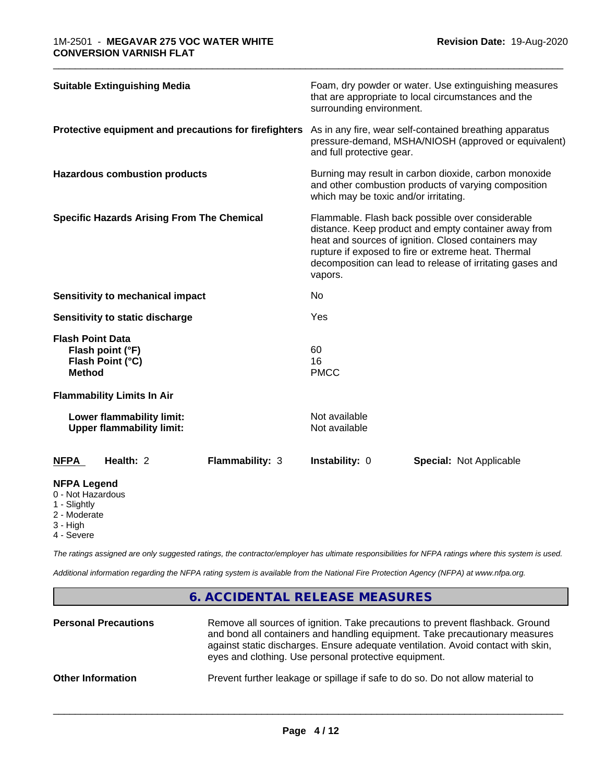| <b>Suitable Extinguishing Media</b>                                                 |                        |                                       | Foam, dry powder or water. Use extinguishing measures                                                                                                                                                                                                                               |  |
|-------------------------------------------------------------------------------------|------------------------|---------------------------------------|-------------------------------------------------------------------------------------------------------------------------------------------------------------------------------------------------------------------------------------------------------------------------------------|--|
|                                                                                     |                        | surrounding environment.              | that are appropriate to local circumstances and the                                                                                                                                                                                                                                 |  |
| Protective equipment and precautions for firefighters                               |                        | and full protective gear.             | As in any fire, wear self-contained breathing apparatus<br>pressure-demand, MSHA/NIOSH (approved or equivalent)                                                                                                                                                                     |  |
| <b>Hazardous combustion products</b>                                                |                        | which may be toxic and/or irritating. | Burning may result in carbon dioxide, carbon monoxide<br>and other combustion products of varying composition                                                                                                                                                                       |  |
| <b>Specific Hazards Arising From The Chemical</b>                                   |                        | vapors.                               | Flammable. Flash back possible over considerable<br>distance. Keep product and empty container away from<br>heat and sources of ignition. Closed containers may<br>rupture if exposed to fire or extreme heat. Thermal<br>decomposition can lead to release of irritating gases and |  |
| <b>Sensitivity to mechanical impact</b>                                             |                        | No                                    |                                                                                                                                                                                                                                                                                     |  |
| Sensitivity to static discharge                                                     |                        | Yes                                   |                                                                                                                                                                                                                                                                                     |  |
| <b>Flash Point Data</b><br>Flash point (°F)<br>Flash Point (°C)<br><b>Method</b>    |                        | 60<br>16<br><b>PMCC</b>               |                                                                                                                                                                                                                                                                                     |  |
| <b>Flammability Limits In Air</b>                                                   |                        |                                       |                                                                                                                                                                                                                                                                                     |  |
| Lower flammability limit:<br><b>Upper flammability limit:</b>                       |                        | Not available<br>Not available        |                                                                                                                                                                                                                                                                                     |  |
| Health: 2<br><b>NFPA</b>                                                            | <b>Flammability: 3</b> | Instability: 0                        | <b>Special: Not Applicable</b>                                                                                                                                                                                                                                                      |  |
| <b>NFPA Legend</b><br>0 - Not Hazardous<br>1 - Slightly<br>2 - Moderate<br>3 - High |                        |                                       |                                                                                                                                                                                                                                                                                     |  |

\_\_\_\_\_\_\_\_\_\_\_\_\_\_\_\_\_\_\_\_\_\_\_\_\_\_\_\_\_\_\_\_\_\_\_\_\_\_\_\_\_\_\_\_\_\_\_\_\_\_\_\_\_\_\_\_\_\_\_\_\_\_\_\_\_\_\_\_\_\_\_\_\_\_\_\_\_\_\_\_\_\_\_\_\_\_\_\_\_\_\_\_\_

4 - Severe

*The ratings assigned are only suggested ratings, the contractor/employer has ultimate responsibilities for NFPA ratings where this system is used.*

*Additional information regarding the NFPA rating system is available from the National Fire Protection Agency (NFPA) at www.nfpa.org.*

# **6. ACCIDENTAL RELEASE MEASURES**

| <b>Personal Precautions</b> | Remove all sources of ignition. Take precautions to prevent flashback. Ground<br>and bond all containers and handling equipment. Take precautionary measures<br>against static discharges. Ensure adequate ventilation. Avoid contact with skin,<br>eyes and clothing. Use personal protective equipment. |
|-----------------------------|-----------------------------------------------------------------------------------------------------------------------------------------------------------------------------------------------------------------------------------------------------------------------------------------------------------|
| <b>Other Information</b>    | Prevent further leakage or spillage if safe to do so. Do not allow material to                                                                                                                                                                                                                            |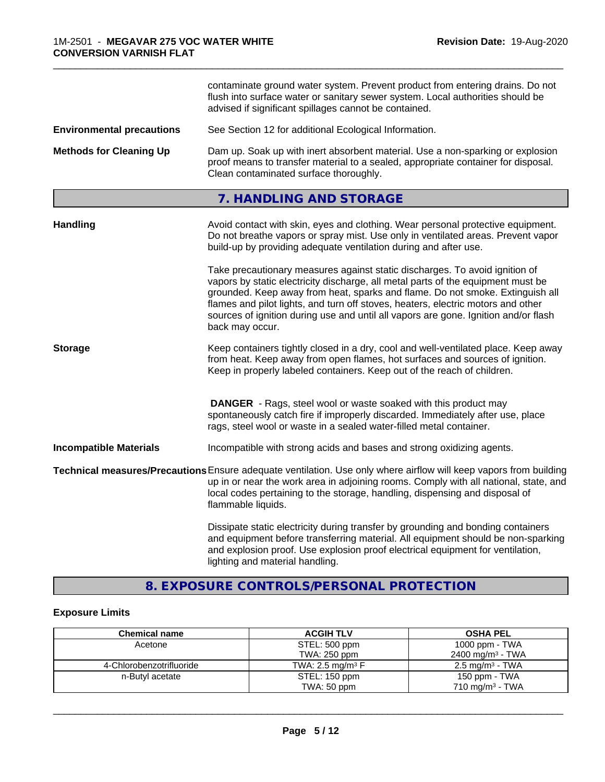|                                  | contaminate ground water system. Prevent product from entering drains. Do not<br>flush into surface water or sanitary sewer system. Local authorities should be<br>advised if significant spillages cannot be contained.                                                                                                                                                                                                                       |
|----------------------------------|------------------------------------------------------------------------------------------------------------------------------------------------------------------------------------------------------------------------------------------------------------------------------------------------------------------------------------------------------------------------------------------------------------------------------------------------|
| <b>Environmental precautions</b> | See Section 12 for additional Ecological Information.                                                                                                                                                                                                                                                                                                                                                                                          |
| <b>Methods for Cleaning Up</b>   | Dam up. Soak up with inert absorbent material. Use a non-sparking or explosion<br>proof means to transfer material to a sealed, appropriate container for disposal.<br>Clean contaminated surface thoroughly.                                                                                                                                                                                                                                  |
|                                  | 7. HANDLING AND STORAGE                                                                                                                                                                                                                                                                                                                                                                                                                        |
| <b>Handling</b>                  | Avoid contact with skin, eyes and clothing. Wear personal protective equipment.<br>Do not breathe vapors or spray mist. Use only in ventilated areas. Prevent vapor<br>build-up by providing adequate ventilation during and after use.                                                                                                                                                                                                        |
|                                  | Take precautionary measures against static discharges. To avoid ignition of<br>vapors by static electricity discharge, all metal parts of the equipment must be<br>grounded. Keep away from heat, sparks and flame. Do not smoke. Extinguish all<br>flames and pilot lights, and turn off stoves, heaters, electric motors and other<br>sources of ignition during use and until all vapors are gone. Ignition and/or flash<br>back may occur. |
| <b>Storage</b>                   | Keep containers tightly closed in a dry, cool and well-ventilated place. Keep away<br>from heat. Keep away from open flames, hot surfaces and sources of ignition.<br>Keep in properly labeled containers. Keep out of the reach of children.                                                                                                                                                                                                  |
|                                  | <b>DANGER</b> - Rags, steel wool or waste soaked with this product may<br>spontaneously catch fire if improperly discarded. Immediately after use, place<br>rags, steel wool or waste in a sealed water-filled metal container.                                                                                                                                                                                                                |
| <b>Incompatible Materials</b>    | Incompatible with strong acids and bases and strong oxidizing agents.                                                                                                                                                                                                                                                                                                                                                                          |
|                                  | Technical measures/Precautions Ensure adequate ventilation. Use only where airflow will keep vapors from building<br>up in or near the work area in adjoining rooms. Comply with all national, state, and<br>local codes pertaining to the storage, handling, dispensing and disposal of<br>flammable liquids.                                                                                                                                 |
|                                  | Dissipate static electricity during transfer by grounding and bonding containers<br>and equipment before transferring material. All equipment should be non-sparking<br>and explosion proof. Use explosion proof electrical equipment for ventilation,<br>lighting and material handling.                                                                                                                                                      |

\_\_\_\_\_\_\_\_\_\_\_\_\_\_\_\_\_\_\_\_\_\_\_\_\_\_\_\_\_\_\_\_\_\_\_\_\_\_\_\_\_\_\_\_\_\_\_\_\_\_\_\_\_\_\_\_\_\_\_\_\_\_\_\_\_\_\_\_\_\_\_\_\_\_\_\_\_\_\_\_\_\_\_\_\_\_\_\_\_\_\_\_\_

# **8. EXPOSURE CONTROLS/PERSONAL PROTECTION**

# **Exposure Limits**

| <b>Chemical name</b>     | <b>ACGIH TLV</b>               | <b>OSHA PEL</b>              |
|--------------------------|--------------------------------|------------------------------|
| Acetone                  | STEL: 500 ppm                  | 1000 ppm - TWA               |
|                          | TWA: 250 ppm                   | 2400 mg/m <sup>3</sup> - TWA |
| 4-Chlorobenzotrifluoride | TWA: 2.5 mg/m <sup>3</sup> $F$ | 2.5 mg/m <sup>3</sup> - TWA  |
| n-Butyl acetate          | STEL: 150 ppm                  | 150 ppm - TWA                |
|                          | TWA: 50 ppm                    | 710 mg/m $3$ - TWA           |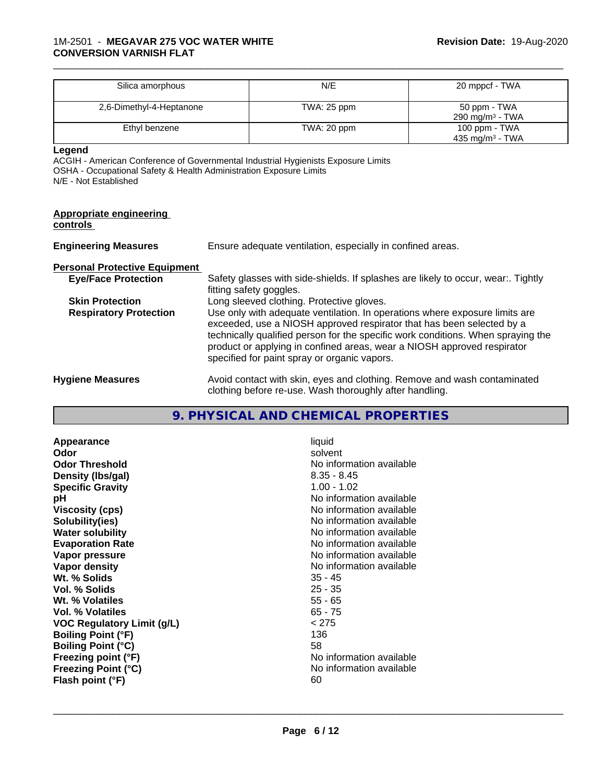| Silica amorphous         | N/E           | 20 mppcf - TWA                               |
|--------------------------|---------------|----------------------------------------------|
| 2,6-Dimethyl-4-Heptanone | TWA: $25$ ppm | 50 ppm - TWA<br>290 mg/m $3$ - TWA           |
| Ethyl benzene            | TWA: 20 ppm   | 100 ppm - TWA<br>435 mg/m <sup>3</sup> - TWA |

\_\_\_\_\_\_\_\_\_\_\_\_\_\_\_\_\_\_\_\_\_\_\_\_\_\_\_\_\_\_\_\_\_\_\_\_\_\_\_\_\_\_\_\_\_\_\_\_\_\_\_\_\_\_\_\_\_\_\_\_\_\_\_\_\_\_\_\_\_\_\_\_\_\_\_\_\_\_\_\_\_\_\_\_\_\_\_\_\_\_\_\_\_

**Legend**

ACGIH - American Conference of Governmental Industrial Hygienists Exposure Limits OSHA - Occupational Safety & Health Administration Exposure Limits N/E - Not Established

| <b>Appropriate engineering</b><br>controls |                                                                                                                                                                                                                                                                                                                                                                     |
|--------------------------------------------|---------------------------------------------------------------------------------------------------------------------------------------------------------------------------------------------------------------------------------------------------------------------------------------------------------------------------------------------------------------------|
| <b>Engineering Measures</b>                | Ensure adequate ventilation, especially in confined areas.                                                                                                                                                                                                                                                                                                          |
| <b>Personal Protective Equipment</b>       |                                                                                                                                                                                                                                                                                                                                                                     |
| <b>Eye/Face Protection</b>                 | Safety glasses with side-shields. If splashes are likely to occur, wear Tightly<br>fitting safety goggles.                                                                                                                                                                                                                                                          |
| <b>Skin Protection</b>                     | Long sleeved clothing. Protective gloves.                                                                                                                                                                                                                                                                                                                           |
| <b>Respiratory Protection</b>              | Use only with adequate ventilation. In operations where exposure limits are<br>exceeded, use a NIOSH approved respirator that has been selected by a<br>technically qualified person for the specific work conditions. When spraying the<br>product or applying in confined areas, wear a NIOSH approved respirator<br>specified for paint spray or organic vapors. |
| <b>Hygiene Measures</b>                    | Avoid contact with skin, eyes and clothing. Remove and wash contaminated<br>clothing before re-use. Wash thoroughly after handling.                                                                                                                                                                                                                                 |

# **9. PHYSICAL AND CHEMICAL PROPERTIES**

| Appearance                        | liquid                   |
|-----------------------------------|--------------------------|
| Odor                              | solvent                  |
| <b>Odor Threshold</b>             | No information available |
| Density (Ibs/gal)                 | $8.35 - 8.45$            |
| <b>Specific Gravity</b>           | $1.00 - 1.02$            |
| рH                                | No information available |
| Viscosity (cps)                   | No information available |
| Solubility(ies)                   | No information available |
| <b>Water solubility</b>           | No information available |
| <b>Evaporation Rate</b>           | No information available |
| Vapor pressure                    | No information available |
| Vapor density                     | No information available |
| Wt. % Solids                      | $35 - 45$                |
| Vol. % Solids                     | $25 - 35$                |
| Wt. % Volatiles                   | $55 - 65$                |
| Vol. % Volatiles                  | $65 - 75$                |
| <b>VOC Regulatory Limit (g/L)</b> | < 275                    |
| <b>Boiling Point (°F)</b>         | 136                      |
| <b>Boiling Point (°C)</b>         | 58                       |
| Freezing point (°F)               | No information available |
| <b>Freezing Point (°C)</b>        | No information available |
| Flash point (°F)                  | 60                       |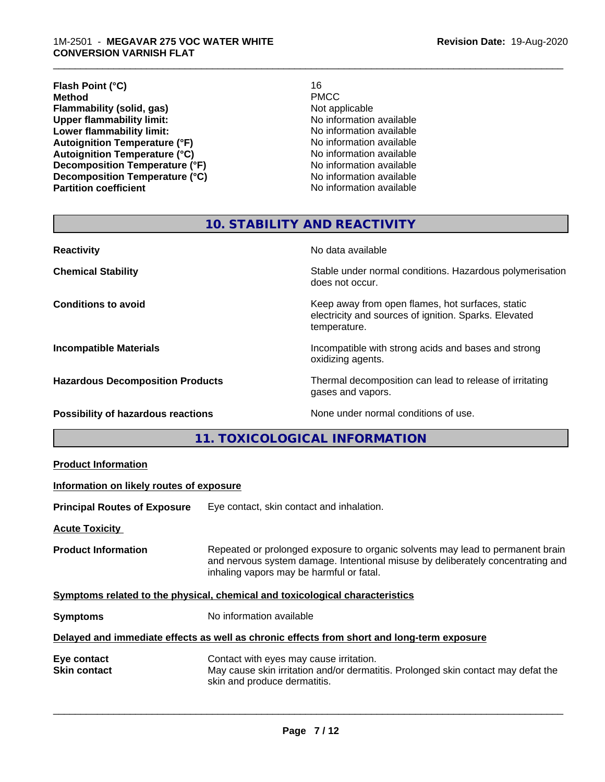#### 1M-2501 - **MEGAVAR 275 VOC WATER WHITE CONVERSION VARNISH FLAT**

#### **Flash Point (°C)** 16<br> **Method** PMCC **Method** PMCC **Flammability (solid, gas)**<br> **Commability limit:**<br>
Upper flammability limit:<br>
Wo information available **Upper flammability limit:**<br> **Lower flammability limit:**<br>
No information available<br>
No information available **Lower flammability limit:**<br> **Autoignition Temperature (°F)**<br>
Mo information available<br>
No information available Autoignition Temperature (°F)<br>
Autoignition Temperature (°C)<br>
No information available **Autoignition Temperature (°C)**<br> **Decomposition Temperature (°F)** No information available **Decomposition Temperature (°F)**<br> **Decomposition Temperature (°C)**<br>
No information available **Decomposition Temperature (°C) Partition coefficient Contract Contract Contract Contract Contract Contract Contract Contract Contract Contract Contract Contract Contract Contract Contract Contract Contract Contract Contract Contract Contract Contract**

\_\_\_\_\_\_\_\_\_\_\_\_\_\_\_\_\_\_\_\_\_\_\_\_\_\_\_\_\_\_\_\_\_\_\_\_\_\_\_\_\_\_\_\_\_\_\_\_\_\_\_\_\_\_\_\_\_\_\_\_\_\_\_\_\_\_\_\_\_\_\_\_\_\_\_\_\_\_\_\_\_\_\_\_\_\_\_\_\_\_\_\_\_

# **10. STABILITY AND REACTIVITY**

| <b>Reactivity</b>                         | No data available                                                                                                         |
|-------------------------------------------|---------------------------------------------------------------------------------------------------------------------------|
| <b>Chemical Stability</b>                 | Stable under normal conditions. Hazardous polymerisation<br>does not occur.                                               |
| <b>Conditions to avoid</b>                | Keep away from open flames, hot surfaces, static<br>electricity and sources of ignition. Sparks. Elevated<br>temperature. |
| <b>Incompatible Materials</b>             | Incompatible with strong acids and bases and strong<br>oxidizing agents.                                                  |
| <b>Hazardous Decomposition Products</b>   | Thermal decomposition can lead to release of irritating<br>gases and vapors.                                              |
| <b>Possibility of hazardous reactions</b> | None under normal conditions of use.                                                                                      |

**11. TOXICOLOGICAL INFORMATION**

| Information on likely routes of exposure<br>Eye contact, skin contact and inhalation.<br><b>Acute Toxicity</b><br>Repeated or prolonged exposure to organic solvents may lead to permanent brain<br><b>Product Information</b><br>and nervous system damage. Intentional misuse by deliberately concentrating and<br>inhaling vapors may be harmful or fatal. |
|---------------------------------------------------------------------------------------------------------------------------------------------------------------------------------------------------------------------------------------------------------------------------------------------------------------------------------------------------------------|
| <b>Principal Routes of Exposure</b><br>Symptoms related to the physical, chemical and toxicological characteristics                                                                                                                                                                                                                                           |
|                                                                                                                                                                                                                                                                                                                                                               |
|                                                                                                                                                                                                                                                                                                                                                               |
|                                                                                                                                                                                                                                                                                                                                                               |
|                                                                                                                                                                                                                                                                                                                                                               |
| No information available<br><b>Symptoms</b>                                                                                                                                                                                                                                                                                                                   |
| Delayed and immediate effects as well as chronic effects from short and long-term exposure                                                                                                                                                                                                                                                                    |
| Contact with eyes may cause irritation.<br>Eye contact<br>May cause skin irritation and/or dermatitis. Prolonged skin contact may defat the<br><b>Skin contact</b><br>skin and produce dermatitis.                                                                                                                                                            |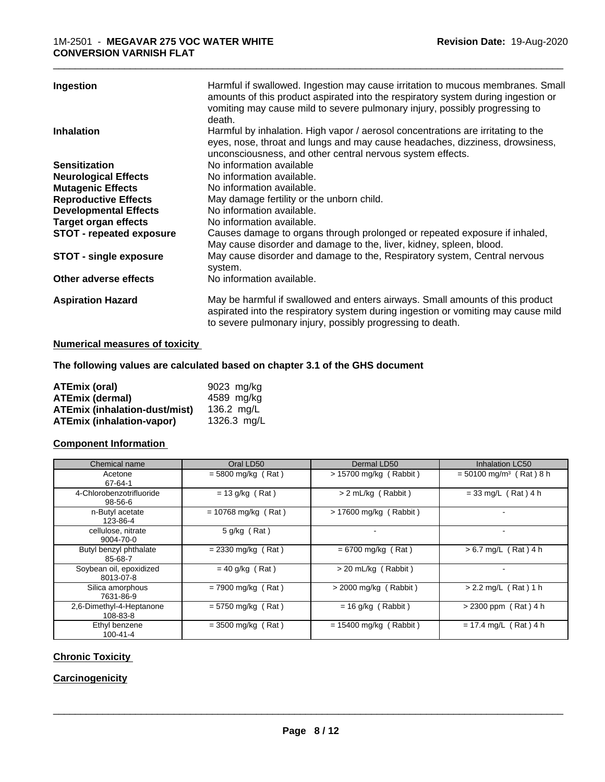| Ingestion                       | Harmful if swallowed. Ingestion may cause irritation to mucous membranes. Small<br>amounts of this product aspirated into the respiratory system during ingestion or<br>vomiting may cause mild to severe pulmonary injury, possibly progressing to<br>death. |
|---------------------------------|---------------------------------------------------------------------------------------------------------------------------------------------------------------------------------------------------------------------------------------------------------------|
| Inhalation                      | Harmful by inhalation. High vapor / aerosol concentrations are irritating to the<br>eyes, nose, throat and lungs and may cause headaches, dizziness, drowsiness,<br>unconsciousness, and other central nervous system effects.                                |
| <b>Sensitization</b>            | No information available                                                                                                                                                                                                                                      |
| <b>Neurological Effects</b>     | No information available.                                                                                                                                                                                                                                     |
| <b>Mutagenic Effects</b>        | No information available.                                                                                                                                                                                                                                     |
| <b>Reproductive Effects</b>     | May damage fertility or the unborn child.                                                                                                                                                                                                                     |
| <b>Developmental Effects</b>    | No information available.                                                                                                                                                                                                                                     |
| Target organ effects            | No information available.                                                                                                                                                                                                                                     |
| <b>STOT - repeated exposure</b> | Causes damage to organs through prolonged or repeated exposure if inhaled,<br>May cause disorder and damage to the, liver, kidney, spleen, blood.                                                                                                             |
| <b>STOT - single exposure</b>   | May cause disorder and damage to the, Respiratory system, Central nervous<br>system.                                                                                                                                                                          |
| Other adverse effects           | No information available.                                                                                                                                                                                                                                     |
| <b>Aspiration Hazard</b>        | May be harmful if swallowed and enters airways. Small amounts of this product<br>aspirated into the respiratory system during ingestion or vomiting may cause mild<br>to severe pulmonary injury, possibly progressing to death.                              |

# **Numerical measures of toxicity**

# **The following values are calculated based on chapter 3.1 of the GHS document**

| ATEmix (oral)                        | 9023 mg/kg           |
|--------------------------------------|----------------------|
| <b>ATEmix (dermal)</b>               | 4589 mg/kg           |
| <b>ATEmix (inhalation-dust/mist)</b> | $136.2 \text{ ma/L}$ |
| <b>ATEmix (inhalation-vapor)</b>     | 1326.3 mg/L          |

# **Component Information**

| Chemical name                        | Oral LD50             | Dermal LD50              | <b>Inhalation LC50</b>                |
|--------------------------------------|-----------------------|--------------------------|---------------------------------------|
| Acetone<br>67-64-1                   | $= 5800$ mg/kg (Rat)  | $> 15700$ mg/kg (Rabbit) | $=$ 50100 mg/m <sup>3</sup> (Rat) 8 h |
| 4-Chlorobenzotrifluoride<br>98-56-6  | $= 13$ g/kg (Rat)     | > 2 mL/kg (Rabbit)       | $= 33$ mg/L (Rat) 4 h                 |
| n-Butyl acetate<br>123-86-4          | $= 10768$ mg/kg (Rat) | > 17600 mg/kg (Rabbit)   |                                       |
| cellulose, nitrate<br>9004-70-0      | 5 g/kg (Rat)          | $\overline{\phantom{0}}$ |                                       |
| Butyl benzyl phthalate<br>85-68-7    | $= 2330$ mg/kg (Rat)  | $= 6700$ mg/kg (Rat)     | $> 6.7$ mg/L (Rat) 4 h                |
| Soybean oil, epoxidized<br>8013-07-8 | $= 40$ g/kg (Rat)     | > 20 mL/kg (Rabbit)      |                                       |
| Silica amorphous<br>7631-86-9        | $= 7900$ mg/kg (Rat)  | $>$ 2000 mg/kg (Rabbit)  | $> 2.2$ mg/L (Rat) 1 h                |
| 2,6-Dimethyl-4-Heptanone<br>108-83-8 | $= 5750$ mg/kg (Rat)  | $= 16$ g/kg (Rabbit)     | $> 2300$ ppm (Rat) 4 h                |
| Ethyl benzene<br>$100 - 41 - 4$      | $=$ 3500 mg/kg (Rat)  | $= 15400$ mg/kg (Rabbit) | $= 17.4$ mg/L (Rat) 4 h               |

# **Chronic Toxicity**

# **Carcinogenicity**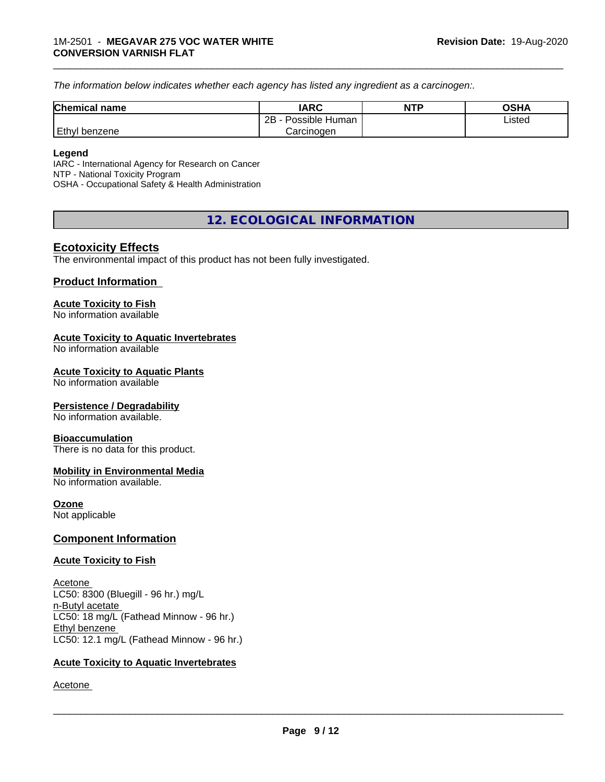*The information below indicateswhether each agency has listed any ingredient as a carcinogen:.*

| <b>Chemical name</b> | <b>IARC</b>               | <b>NTP</b> | OSHA   |
|----------------------|---------------------------|------------|--------|
|                      | .<br>2B<br>Possible Human |            | Listed |
| Ethyl<br>I benzene   | Carcinogen                |            |        |

\_\_\_\_\_\_\_\_\_\_\_\_\_\_\_\_\_\_\_\_\_\_\_\_\_\_\_\_\_\_\_\_\_\_\_\_\_\_\_\_\_\_\_\_\_\_\_\_\_\_\_\_\_\_\_\_\_\_\_\_\_\_\_\_\_\_\_\_\_\_\_\_\_\_\_\_\_\_\_\_\_\_\_\_\_\_\_\_\_\_\_\_\_

#### **Legend**

IARC - International Agency for Research on Cancer NTP - National Toxicity Program OSHA - Occupational Safety & Health Administration

# **12. ECOLOGICAL INFORMATION**

# **Ecotoxicity Effects**

The environmental impact of this product has not been fully investigated.

# **Product Information**

#### **Acute Toxicity to Fish**

No information available

#### **Acute Toxicity to Aquatic Invertebrates**

No information available

#### **Acute Toxicity to Aquatic Plants**

No information available

# **Persistence / Degradability**

No information available.

#### **Bioaccumulation**

There is no data for this product.

# **Mobility in Environmental Media**

No information available.

# **Ozone**

Not applicable

# **Component Information**

# **Acute Toxicity to Fish**

Acetone LC50: 8300 (Bluegill - 96 hr.) mg/L n-Butyl acetate LC50: 18 mg/L (Fathead Minnow - 96 hr.) Ethyl benzene LC50: 12.1 mg/L (Fathead Minnow - 96 hr.)

# **Acute Toxicity to Aquatic Invertebrates**

Acetone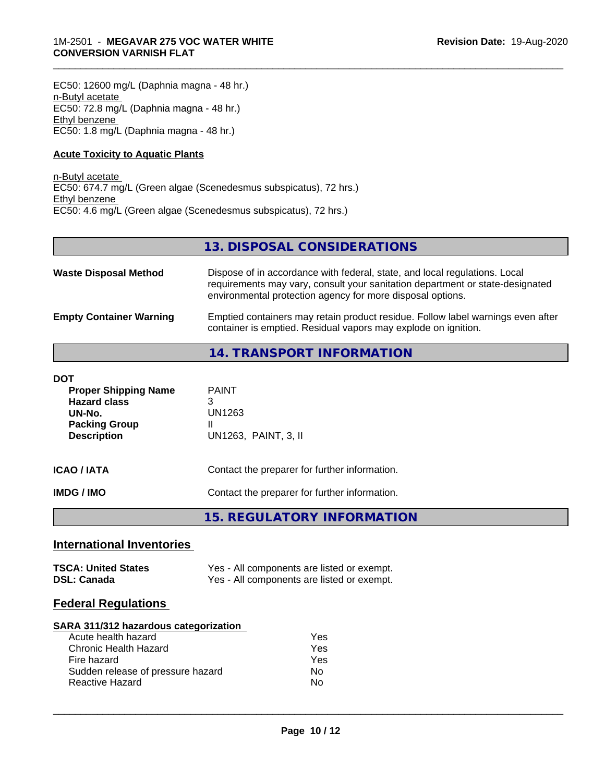EC50: 12600 mg/L (Daphnia magna - 48 hr.) n-Butyl acetate EC50: 72.8 mg/L (Daphnia magna - 48 hr.) Ethyl benzene EC50: 1.8 mg/L (Daphnia magna - 48 hr.)

# **Acute Toxicity to Aquatic Plants**

n-Butyl acetate EC50: 674.7 mg/L (Green algae (Scenedesmus subspicatus), 72 hrs.) Ethyl benzene EC50: 4.6 mg/L (Green algae (Scenedesmus subspicatus), 72 hrs.)

# **13. DISPOSAL CONSIDERATIONS**

\_\_\_\_\_\_\_\_\_\_\_\_\_\_\_\_\_\_\_\_\_\_\_\_\_\_\_\_\_\_\_\_\_\_\_\_\_\_\_\_\_\_\_\_\_\_\_\_\_\_\_\_\_\_\_\_\_\_\_\_\_\_\_\_\_\_\_\_\_\_\_\_\_\_\_\_\_\_\_\_\_\_\_\_\_\_\_\_\_\_\_\_\_

| <b>Waste Disposal Method</b>   | Dispose of in accordance with federal, state, and local regulations. Local<br>requirements may vary, consult your sanitation department or state-designated<br>environmental protection agency for more disposal options. |
|--------------------------------|---------------------------------------------------------------------------------------------------------------------------------------------------------------------------------------------------------------------------|
| <b>Empty Container Warning</b> | Emptied containers may retain product residue. Follow label warnings even after<br>container is emptied. Residual vapors may explode on ignition.                                                                         |

# **14. TRANSPORT INFORMATION**

| DOT<br><b>Proper Shipping Name</b><br><b>Hazard class</b><br>UN-No.<br><b>Packing Group</b><br><b>Description</b> | <b>PAINT</b><br>3<br>UN1263<br>Ш<br>UN1263, PAINT, 3, II |
|-------------------------------------------------------------------------------------------------------------------|----------------------------------------------------------|
| ICAO / IATA                                                                                                       | Contact the preparer for further information.            |
| IMDG / IMO                                                                                                        | Contact the preparer for further information.            |

**15. REGULATORY INFORMATION**

# **International Inventories**

| <b>TSCA: United States</b> | Yes - All components are listed or exempt. |
|----------------------------|--------------------------------------------|
| <b>DSL: Canada</b>         | Yes - All components are listed or exempt. |

# **Federal Regulations**

# **SARA 311/312 hazardous categorization**

| Acute health hazard               | Yes |
|-----------------------------------|-----|
| Chronic Health Hazard             | Yes |
| Fire hazard                       | Yes |
| Sudden release of pressure hazard | Nο  |
| Reactive Hazard                   | N٥  |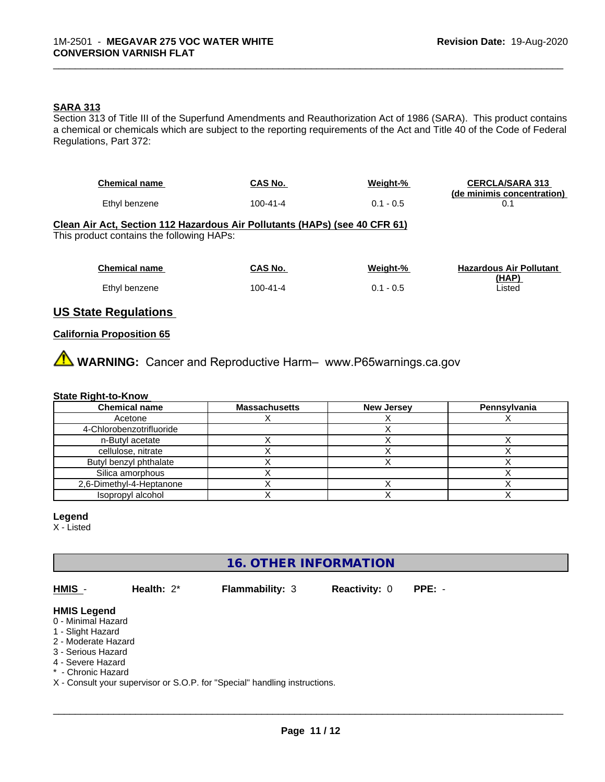# **SARA 313**

Section 313 of Title III of the Superfund Amendments and Reauthorization Act of 1986 (SARA). This product contains a chemical or chemicals which are subject to the reporting requirements of the Act and Title 40 of the Code of Federal Regulations, Part 372:

\_\_\_\_\_\_\_\_\_\_\_\_\_\_\_\_\_\_\_\_\_\_\_\_\_\_\_\_\_\_\_\_\_\_\_\_\_\_\_\_\_\_\_\_\_\_\_\_\_\_\_\_\_\_\_\_\_\_\_\_\_\_\_\_\_\_\_\_\_\_\_\_\_\_\_\_\_\_\_\_\_\_\_\_\_\_\_\_\_\_\_\_\_

| <b>Chemical name</b>                                                                                                    | <b>CAS No.</b> | Weight-%    | <b>CERCLA/SARA 313</b><br>(de minimis concentration) |
|-------------------------------------------------------------------------------------------------------------------------|----------------|-------------|------------------------------------------------------|
| Ethyl benzene                                                                                                           | $100 - 41 - 4$ | $0.1 - 0.5$ | 0.1                                                  |
| Clean Air Act, Section 112 Hazardous Air Pollutants (HAPs) (see 40 CFR 61)<br>This product contains the following HAPs: |                |             |                                                      |
| <b>Chemical name</b>                                                                                                    | CAS No.        | Weight-%    | <b>Hazardous Air Pollutant</b>                       |
| Ethyl benzene                                                                                                           | $100 - 41 - 4$ | $0.1 - 0.5$ | (HAP)<br>Listed                                      |

# **US State Regulations**

# **California Proposition 65**

**A** WARNING: Cancer and Reproductive Harm– www.P65warnings.ca.gov

# **State Right-to-Know**

| <b>Chemical name</b>     | <b>Massachusetts</b> | <b>New Jersey</b> | Pennsylvania |
|--------------------------|----------------------|-------------------|--------------|
| Acetone                  |                      |                   |              |
| 4-Chlorobenzotrifluoride |                      |                   |              |
| n-Butyl acetate          |                      |                   |              |
| cellulose, nitrate       |                      |                   |              |
| Butyl benzyl phthalate   |                      |                   |              |
| Silica amorphous         |                      |                   |              |
| 2,6-Dimethyl-4-Heptanone |                      |                   |              |
| Isopropyl alcohol        |                      |                   |              |

# **Legend**

X - Listed

# **16. OTHER INFORMATION**

**HMIS** - **Health:** 2\* **Flammability:** 3 **Reactivity:** 0 **PPE:** -

 $\overline{\phantom{a}}$  ,  $\overline{\phantom{a}}$  ,  $\overline{\phantom{a}}$  ,  $\overline{\phantom{a}}$  ,  $\overline{\phantom{a}}$  ,  $\overline{\phantom{a}}$  ,  $\overline{\phantom{a}}$  ,  $\overline{\phantom{a}}$  ,  $\overline{\phantom{a}}$  ,  $\overline{\phantom{a}}$  ,  $\overline{\phantom{a}}$  ,  $\overline{\phantom{a}}$  ,  $\overline{\phantom{a}}$  ,  $\overline{\phantom{a}}$  ,  $\overline{\phantom{a}}$  ,  $\overline{\phantom{a}}$ 

**HMIS Legend**

0 - Minimal Hazard

1 - Slight Hazard

2 - Moderate Hazard

3 - Serious Hazard

4 - Severe Hazard

\* - Chronic Hazard

X - Consult your supervisor or S.O.P. for "Special" handling instructions.